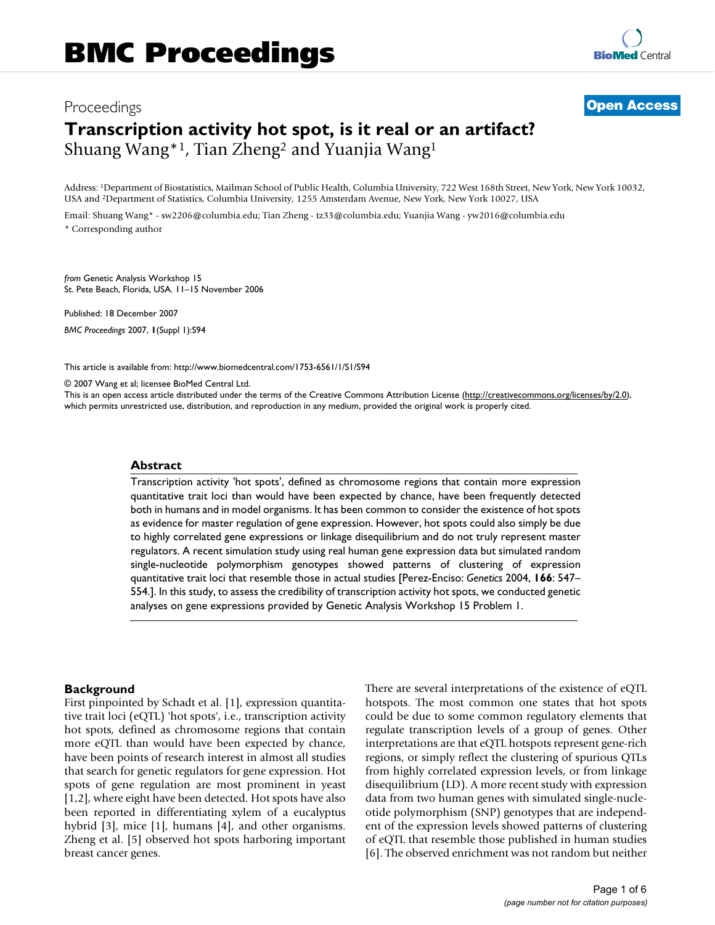# Proceedings **[Open Access](http://www.biomedcentral.com/info/about/charter/) Transcription activity hot spot, is it real or an artifact?** Shuang Wang\*1, Tian Zheng2 and Yuanjia Wang1

Address: 1Department of Biostatistics, Mailman School of Public Health, Columbia University, 722 West 168th Street, New York, New York 10032, USA and 2Department of Statistics, Columbia University, 1255 Amsterdam Avenue, New York, New York 10027, USA

Email: Shuang Wang\* - sw2206@columbia.edu; Tian Zheng - tz33@columbia.edu; Yuanjia Wang - yw2016@columbia.edu \* Corresponding author

*from* Genetic Analysis Workshop 15 St. Pete Beach, Florida, USA. 11–15 November 2006

Published: 18 December 2007 *BMC Proceedings* 2007, **1**(Suppl 1):S94

[This article is available from: http://www.biomedcentral.com/1753-6561/1/S1/S94](http://www.biomedcentral.com/1753-6561/1/S1/S94)

© 2007 Wang et al; licensee BioMed Central Ltd.

This is an open access article distributed under the terms of the Creative Commons Attribution License [\(http://creativecommons.org/licenses/by/2.0\)](http://creativecommons.org/licenses/by/2.0), which permits unrestricted use, distribution, and reproduction in any medium, provided the original work is properly cited.

### **Abstract**

Transcription activity 'hot spots', defined as chromosome regions that contain more expression quantitative trait loci than would have been expected by chance, have been frequently detected both in humans and in model organisms. It has been common to consider the existence of hot spots as evidence for master regulation of gene expression. However, hot spots could also simply be due to highly correlated gene expressions or linkage disequilibrium and do not truly represent master regulators. A recent simulation study using real human gene expression data but simulated random single-nucleotide polymorphism genotypes showed patterns of clustering of expression quantitative trait loci that resemble those in actual studies [Perez-Enciso: *Genetics* 2004, **166**: 547– 554.]. In this study, to assess the credibility of transcription activity hot spots, we conducted genetic analyses on gene expressions provided by Genetic Analysis Workshop 15 Problem 1.

### **Background**

First pinpointed by Schadt et al. [1], expression quantitative trait loci (eQTL) 'hot spots', i.e., transcription activity hot spots, defined as chromosome regions that contain more eQTL than would have been expected by chance, have been points of research interest in almost all studies that search for genetic regulators for gene expression. Hot spots of gene regulation are most prominent in yeast [1,2], where eight have been detected. Hot spots have also been reported in differentiating xylem of a eucalyptus hybrid [3], mice [1], humans [4], and other organisms. Zheng et al. [5] observed hot spots harboring important breast cancer genes.

There are several interpretations of the existence of eQTL hotspots. The most common one states that hot spots could be due to some common regulatory elements that regulate transcription levels of a group of genes. Other interpretations are that eQTL hotspots represent gene-rich regions, or simply reflect the clustering of spurious QTLs from highly correlated expression levels, or from linkage disequilibrium (LD). A more recent study with expression data from two human genes with simulated single-nucleotide polymorphism (SNP) genotypes that are independent of the expression levels showed patterns of clustering of eQTL that resemble those published in human studies [6]. The observed enrichment was not random but neither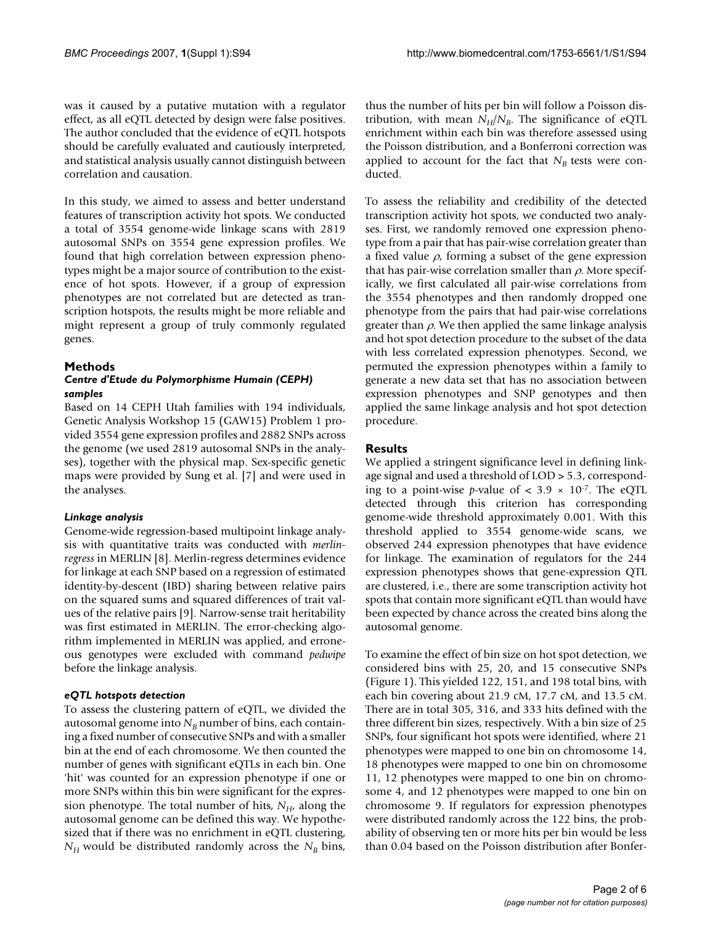was it caused by a putative mutation with a regulator effect, as all eQTL detected by design were false positives. The author concluded that the evidence of eQTL hotspots should be carefully evaluated and cautiously interpreted, and statistical analysis usually cannot distinguish between correlation and causation.

In this study, we aimed to assess and better understand features of transcription activity hot spots. We conducted a total of 3554 genome-wide linkage scans with 2819 autosomal SNPs on 3554 gene expression profiles. We found that high correlation between expression phenotypes might be a major source of contribution to the existence of hot spots. However, if a group of expression phenotypes are not correlated but are detected as transcription hotspots, the results might be more reliable and might represent a group of truly commonly regulated genes.

# **Methods**

### *Centre d'Etude du Polymorphisme Humain (CEPH) samples*

Based on 14 CEPH Utah families with 194 individuals, Genetic Analysis Workshop 15 (GAW15) Problem 1 provided 3554 gene expression profiles and 2882 SNPs across the genome (we used 2819 autosomal SNPs in the analyses), together with the physical map. Sex-specific genetic maps were provided by Sung et al. [7] and were used in the analyses.

# *Linkage analysis*

Genome-wide regression-based multipoint linkage analysis with quantitative traits was conducted with *merlinregress* in MERLIN [8]. Merlin-regress determines evidence for linkage at each SNP based on a regression of estimated identity-by-descent (IBD) sharing between relative pairs on the squared sums and squared differences of trait values of the relative pairs [9]. Narrow-sense trait heritability was first estimated in MERLIN. The error-checking algorithm implemented in MERLIN was applied, and erroneous genotypes were excluded with command *pedwipe* before the linkage analysis.

# *eQTL hotspots detection*

To assess the clustering pattern of eQTL, we divided the autosomal genome into  $N_B$  number of bins, each containing a fixed number of consecutive SNPs and with a smaller bin at the end of each chromosome. We then counted the number of genes with significant eQTLs in each bin. One 'hit' was counted for an expression phenotype if one or more SNPs within this bin were significant for the expression phenotype. The total number of hits,  $N_{H}$ , along the autosomal genome can be defined this way. We hypothesized that if there was no enrichment in eQTL clustering,  $N_H$  would be distributed randomly across the  $N_B$  bins,

thus the number of hits per bin will follow a Poisson distribution, with mean  $N_H/N_B$ . The significance of eQTL enrichment within each bin was therefore assessed using the Poisson distribution, and a Bonferroni correction was applied to account for the fact that  $N_B$  tests were conducted.

To assess the reliability and credibility of the detected transcription activity hot spots, we conducted two analyses. First, we randomly removed one expression phenotype from a pair that has pair-wise correlation greater than a fixed value  $\rho$ , forming a subset of the gene expression that has pair-wise correlation smaller than  $\rho$ . More specifically, we first calculated all pair-wise correlations from the 3554 phenotypes and then randomly dropped one phenotype from the pairs that had pair-wise correlations greater than  $\rho$ . We then applied the same linkage analysis and hot spot detection procedure to the subset of the data with less correlated expression phenotypes. Second, we permuted the expression phenotypes within a family to generate a new data set that has no association between expression phenotypes and SNP genotypes and then applied the same linkage analysis and hot spot detection procedure.

# **Results**

We applied a stringent significance level in defining linkage signal and used a threshold of LOD > 5.3, corresponding to a point-wise *p*-value of  $< 3.9 \times 10^{-7}$ . The eQTL detected through this criterion has corresponding genome-wide threshold approximately 0.001. With this threshold applied to 3554 genome-wide scans, we observed 244 expression phenotypes that have evidence for linkage. The examination of regulators for the 244 expression phenotypes shows that gene-expression QTL are clustered, i.e., there are some transcription activity hot spots that contain more significant eQTL than would have been expected by chance across the created bins along the autosomal genome.

To examine the effect of bin size on hot spot detection, we considered bins with 25, 20, and 15 consecutive SNPs (Figure 1). This yielded 122, 151, and 198 total bins, with each bin covering about 21.9 cM, 17.7 cM, and 13.5 cM. There are in total 305, 316, and 333 hits defined with the three different bin sizes, respectively. With a bin size of 25 SNPs, four significant hot spots were identified, where 21 phenotypes were mapped to one bin on chromosome 14, 18 phenotypes were mapped to one bin on chromosome 11, 12 phenotypes were mapped to one bin on chromosome 4, and 12 phenotypes were mapped to one bin on chromosome 9. If regulators for expression phenotypes were distributed randomly across the 122 bins, the probability of observing ten or more hits per bin would be less than 0.04 based on the Poisson distribution after Bonfer-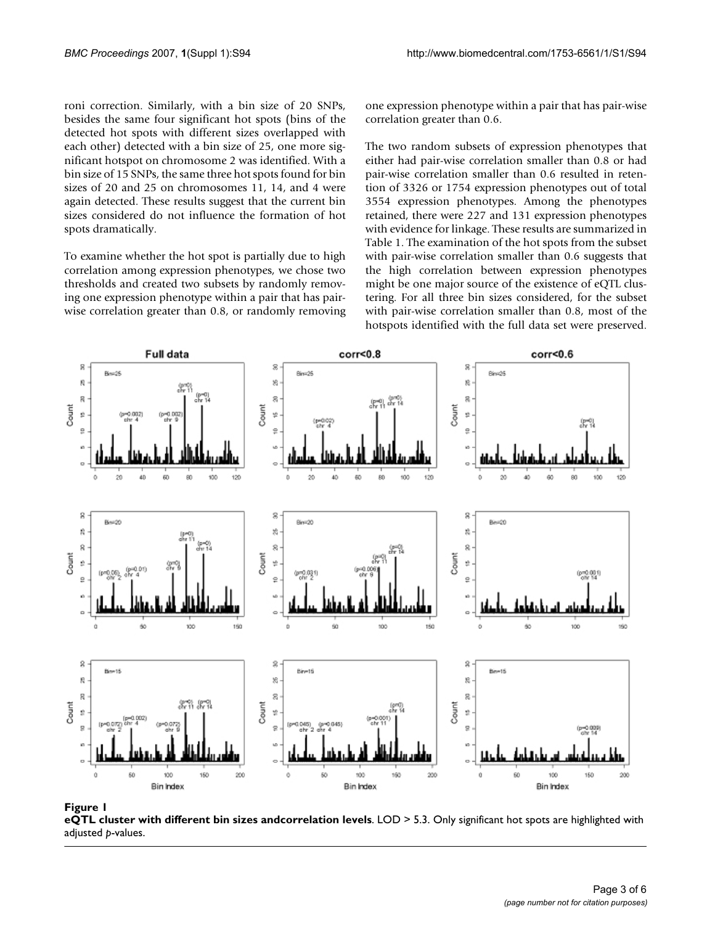roni correction. Similarly, with a bin size of 20 SNPs, besides the same four significant hot spots (bins of the detected hot spots with different sizes overlapped with each other) detected with a bin size of 25, one more significant hotspot on chromosome 2 was identified. With a bin size of 15 SNPs, the same three hot spots found for bin sizes of 20 and 25 on chromosomes 11, 14, and 4 were again detected. These results suggest that the current bin sizes considered do not influence the formation of hot spots dramatically.

To examine whether the hot spot is partially due to high correlation among expression phenotypes, we chose two thresholds and created two subsets by randomly removing one expression phenotype within a pair that has pairwise correlation greater than 0.8, or randomly removing one expression phenotype within a pair that has pair-wise correlation greater than 0.6.

The two random subsets of expression phenotypes that either had pair-wise correlation smaller than 0.8 or had pair-wise correlation smaller than 0.6 resulted in retention of 3326 or 1754 expression phenotypes out of total 3554 expression phenotypes. Among the phenotypes retained, there were 227 and 131 expression phenotypes with evidence for linkage. These results are summarized in Table 1. The examination of the hot spots from the subset with pair-wise correlation smaller than 0.6 suggests that the high correlation between expression phenotypes might be one major source of the existence of eQTL clustering. For all three bin sizes considered, for the subset with pair-wise correlation smaller than 0.8, most of the hotspots identified with the full data set were preserved.



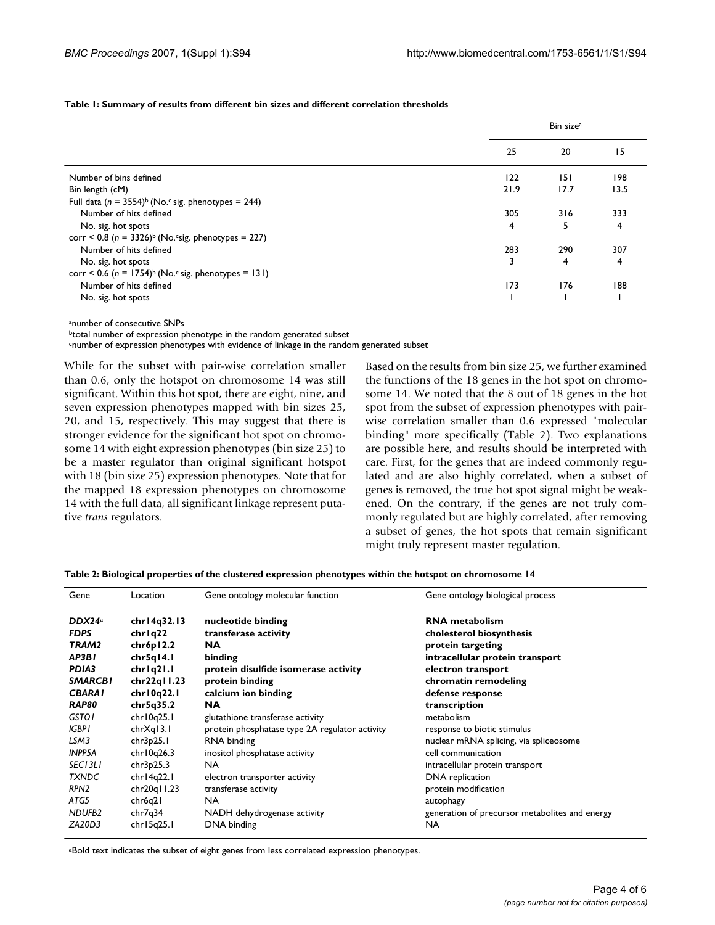#### **Table 1: Summary of results from different bin sizes and different correlation thresholds**

|                                                                                 |      | Bin size <sup>a</sup> |      |  |
|---------------------------------------------------------------------------------|------|-----------------------|------|--|
|                                                                                 | 25   | 20                    | 15   |  |
| Number of bins defined                                                          | 122  | 151                   | 198  |  |
| Bin length (cM)                                                                 | 21.9 | 17.7                  | 13.5 |  |
| Full data ( $n = 3554$ ) <sup>b</sup> (No. <sup>c</sup> sig. phenotypes = 244)  |      |                       |      |  |
| Number of hits defined                                                          | 305  | 316                   | 333  |  |
| No. sig. hot spots                                                              | 4    | 5                     | 4    |  |
| corr < 0.8 ( $n = 3326$ ) <sup>b</sup> (No. <sup>c</sup> sig. phenotypes = 227) |      |                       |      |  |
| Number of hits defined                                                          | 283  | 290                   | 307  |  |
| No. sig. hot spots                                                              | 3    | 4                     | 4    |  |
| corr < 0.6 ( $n = 1754$ <sup>b</sup> (No. <sup>c</sup> sig. phenotypes = 131)   |      |                       |      |  |
| Number of hits defined                                                          | 173  | 176                   | 188  |  |
| No. sig. hot spots                                                              |      |                       |      |  |

anumber of consecutive SNPs

btotal number of expression phenotype in the random generated subset

cnumber of expression phenotypes with evidence of linkage in the random generated subset

While for the subset with pair-wise correlation smaller than 0.6, only the hotspot on chromosome 14 was still significant. Within this hot spot, there are eight, nine, and seven expression phenotypes mapped with bin sizes 25, 20, and 15, respectively. This may suggest that there is stronger evidence for the significant hot spot on chromosome 14 with eight expression phenotypes (bin size 25) to be a master regulator than original significant hotspot with 18 (bin size 25) expression phenotypes. Note that for the mapped 18 expression phenotypes on chromosome 14 with the full data, all significant linkage represent putative *trans* regulators.

Based on the results from bin size 25, we further examined the functions of the 18 genes in the hot spot on chromosome 14. We noted that the 8 out of 18 genes in the hot spot from the subset of expression phenotypes with pairwise correlation smaller than 0.6 expressed "molecular binding" more specifically (Table 2). Two explanations are possible here, and results should be interpreted with care. First, for the genes that are indeed commonly regulated and are also highly correlated, when a subset of genes is removed, the true hot spot signal might be weakened. On the contrary, if the genes are not truly commonly regulated but are highly correlated, after removing a subset of genes, the hot spots that remain significant might truly represent master regulation.

| Gene                | Location           | Gene ontology molecular function               | Gene ontology biological process               |
|---------------------|--------------------|------------------------------------------------|------------------------------------------------|
| DDX24a              | chr14q32.13        | nucleotide binding                             | <b>RNA</b> metabolism                          |
| <b>FDPS</b>         | chrlq22            | transferase activity                           | cholesterol biosynthesis                       |
| TRAM2               | chr6p12.2          | <b>NA</b>                                      | protein targeting                              |
| AP3BI               | chr5q14.1          | binding                                        | intracellular protein transport                |
| <b>PDIA3</b>        | chrlq21.1          | protein disulfide isomerase activity           | electron transport                             |
| <b>SMARCBI</b>      | chr $22q$ ll. $23$ | protein binding                                | chromatin remodeling                           |
| <b>CBARAI</b>       | chr10q22.1         | calcium ion binding                            | defense response                               |
| <b>RAP80</b>        | chr5q35.2          | <b>NA</b>                                      | transcription                                  |
| <b>GSTO1</b>        | chr10q25.1         | glutathione transferase activity               | metabolism                                     |
| IGBP I              | chrXq13.1          | protein phosphatase type 2A regulator activity | response to biotic stimulus                    |
| LSM3                | chr3p25.1          | RNA binding                                    | nuclear mRNA splicing, via spliceosome         |
| <b>INPP5A</b>       | chr $10q26.3$      | inositol phosphatase activity                  | cell communication                             |
| SEC <sub>13L1</sub> | chr3p25.3          | <b>NA</b>                                      | intracellular protein transport                |
| <b>TXNDC</b>        | chr14q22.1         | electron transporter activity                  | DNA replication                                |
| RPN <sub>2</sub>    | chr20q11.23        | transferase activity                           | protein modification                           |
| ATG5                | chr6q21            | <b>NA</b>                                      | autophagy                                      |
| NDUFB <sub>2</sub>  | chr7q34            | NADH dehydrogenase activity                    | generation of precursor metabolites and energy |
| ZA20D3              | chr15q25.1         | DNA binding                                    | NA                                             |

**Table 2: Biological properties of the clustered expression phenotypes within the hotspot on chromosome 14**

aBold text indicates the subset of eight genes from less correlated expression phenotypes.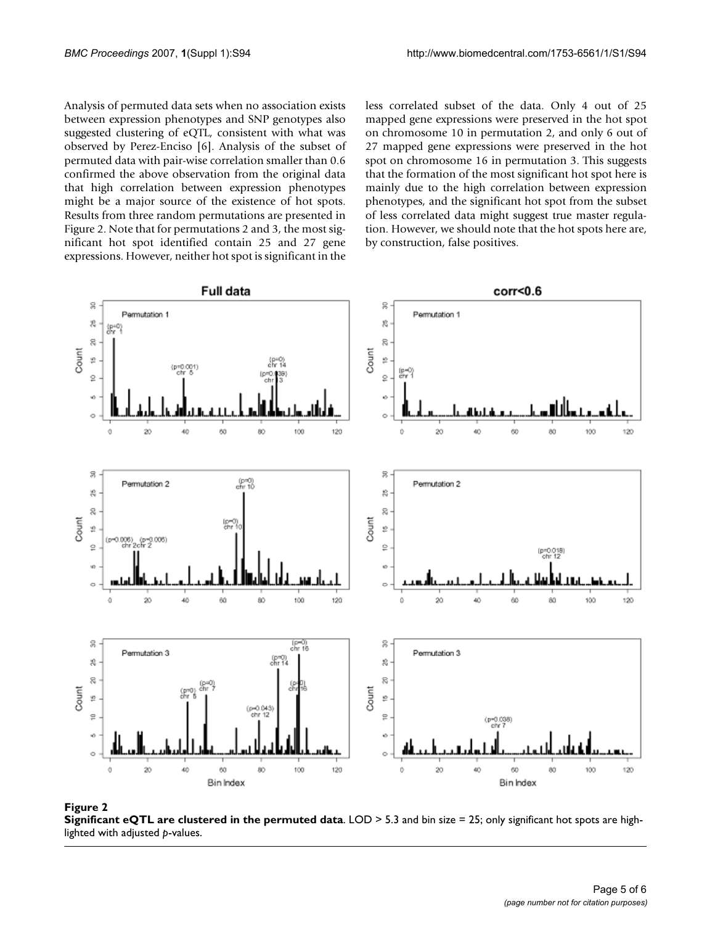Analysis of permuted data sets when no association exists between expression phenotypes and SNP genotypes also suggested clustering of eQTL, consistent with what was observed by Perez-Enciso [6]. Analysis of the subset of permuted data with pair-wise correlation smaller than 0.6 confirmed the above observation from the original data that high correlation between expression phenotypes might be a major source of the existence of hot spots. Results from three random permutations are presented in Figure 2. Note that for permutations 2 and 3, the most significant hot spot identified contain 25 and 27 gene expressions. However, neither hot spot is significant in the less correlated subset of the data. Only 4 out of 25 mapped gene expressions were preserved in the hot spot on chromosome 10 in permutation 2, and only 6 out of 27 mapped gene expressions were preserved in the hot spot on chromosome 16 in permutation 3. This suggests that the formation of the most significant hot spot here is mainly due to the high correlation between expression phenotypes, and the significant hot spot from the subset of less correlated data might suggest true master regulation. However, we should note that the hot spots here are, by construction, false positives.